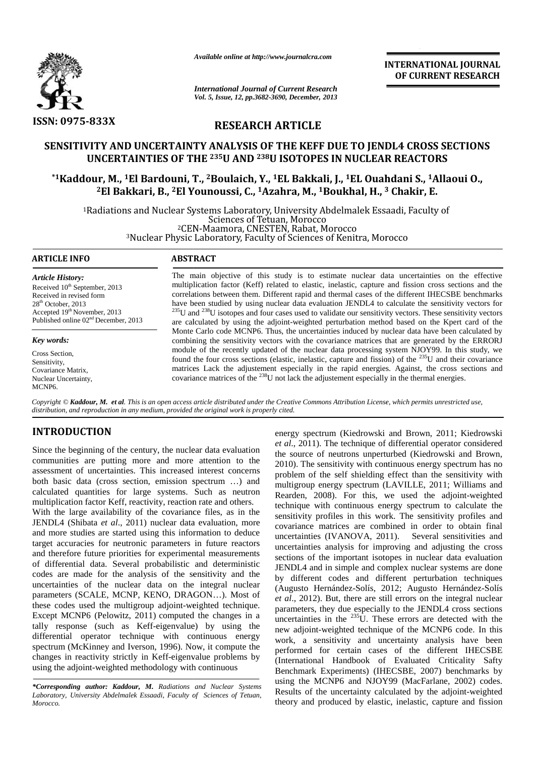

*Available online at http://www.journalcra.com*

*International Journal of Current Research Vol. 5, Issue, 12, pp.3682-3690, December, 2013* **INTERNATIONAL JOURNAL OF CURRENT RESEARCH**

# **RESEARCH ARTICLE**

# **SENSITIVITY AND UNCERTAINTY ANALYSIS OF THE KEFF DUE TO JENDL4 CROSS SECTIONS UNCERTAINTIES OF THE <sup>235</sup>U AND <sup>238</sup>U ISOTOPES IN NUCLEAR REACTORS ENSITIVITY AND UNCERTAINTY ANALYSIS OF THE KEFF DUE TO JENDL4 CROSS SECTIONS<br>UNCERTAINTIES OF THE 235U AND 238U ISOTOPES IN NUCLEAR REACTORS<br>\*1Kaddour, M., <sup>1</sup>El Bardouni, T., <sup>2</sup>Boulaich, Y., <sup>1</sup>EL Bakkali, J., <sup>1</sup>EL Oua**

# **<sup>2</sup>El Bakkari, B., <sup>2</sup>El Younoussi, C., <sup>1</sup>Azahra, M., <sup>1</sup>Boukhal, H., <sup>3</sup> Chakir, E. Boukhal,**

<sup>1</sup>Radiations and Nuclear Systems Laboratory, University Abdelmalek Essaadi, Faculty of Sciences of Tetuan, Morocco <sup>2</sup>CEN-Maamora, CNESTEN, Rabat, Morocco <sup>1</sup>Radiations and Nuclear Systems Laboratory, University Abdelmalek Essaadi, Faculty o<br>Sciences of Tetuan, Morocco<br><sup>2</sup>CEN-Maamora, CNESTEN, Rabat, Morocco<sup>3</sup>Nuclear Physic Laboratory, Faculty of Sciences of Kenitra, Morocc

#### **ARTICLE INFO ABSTRACT ARTICLE INFO**

*Article History:* Received  $10^{th}$  September, 2013 Received in revised form  $28<sup>th</sup>$  October, 2013 Accepted 19th November, 2013 Published online 02nd December, 2013

*Key words:*

Cross Section, Sensitivity, Covariance Matrix, Nuclear Uncertainty, MCNP6.

The main objective of this study is to estimate nuclear data uncertainties on the effective multiplication factor (Keff) related to elastic, inelastic, capture and fission cross sections and the correlations between them. Different rapid and thermal cases of the different IHECSBE benchmarks have been studied by using nuclear data evaluation JENDL4 to calculate the sensitivity vectors for have been studied by using nuclear data evaluation JENDL4 to calculate the sensitivity vectors for <sup>235</sup>U and <sup>238</sup>U isotopes and four cases used to validate our sensitivity vectors. These sensitivity vectors are calculated by using the adjoint-weighted perturbation method based on the Kpert card of the Monte Carlo code MCNP6. Thus, the uncertainties induced by nuclear data have been calculated by combining the sensitivity vectors with the covariance matrices that are generated by the ERRORJ module of the recently updated of the nuclear data processing system NJOY99. In this study, we found the four cross sections (elastic, inelastic, capture and fission) of the <sup>235</sup>U and their covariance matrices Lack the adjustement especially in the rapid energies. Against, the cross sections and covariance matrices of the <sup>238</sup>U not lack the adjustement especially in the thermal energies. The main objective of this study is to estimate nuclear data uncertainties on the effective multiplication factor (Keff) related to elastic, inelastic, capture and fission cross sections and the correlations between them. September, 2013<br>
September, 2013<br>
Correlations between them. Different rapid and thermal cases of the different IHECSBE benchmarks<br>
have been studied by using nuclear data evaluation JENDL4 to calculate the sensitivity vec

Copyright © **Kaddour, M. et al**. This is an open access article distributed under the Creative Commons Attribution License, which permits unrestricted use,<br>distribution, and reproduction in any medium, provided the origina *distribution, and reproduction in any medium, provided the original work is properly cited.*

# **INTRODUCTION**

Since the beginning of the century, the nuclear data evaluation communities are putting more and more attention to the assessment of uncertainties. This increased interest concerns  $\overline{C}$ both basic data (cross section, emission spectrum ...) and  $\frac{1}{m}$ calculated quantities for large systems. Such as neutron multiplication factor Keff, reactivity, reaction rate and others. calculated quantities for large systems. Such as neutron Rea<br>multiplication factor Keff, reactivity, reaction rate and others.<br>With the large availability of the covariance files, as in the JENDL4 (Shibata *et al.*, 2011) nuclear data evaluation, more  $\frac{1}{2}$ and more studies are started using this information to deduce and more studies are started using this information to deduce  $\frac{u}{u}$  under the using to accuracies for neutronic parameters in future reactors and therefore future priorities for experimental measurements of differential data. Several probabilistic and deterministic codes are made for the analysis of the sensitivity and the uncertainties of the nuclear data on the integral nuclear parameters (SCALE, MCNP, KENO, DRAGON…). Most of these codes used the multigroup adjoint-weighted technique. Except MCNP6 (Pelowitz, 2011) computed the changes in a tally response (such as Keff-eigenvalue) by using the differential operator technique with continuous energy  $\frac{1}{W_0}$ spectrum (McKinney and Iverson, 1996). Now, it compute the changes in reactivity strictly in Keff-eigenvalue problems by using the adjoint-weighted methodology with continuous codes are made for the analysis of the sensitivity and t<br>uncertainties of the nuclear data on the integral nucle<br>parameters (SCALE, MCNP, KENO, DRAGON...). Most<br>these codes used the multigroup adjoint-weighted techniqu<br>Exc

*\*Corresponding author: Kaddour, M. Radiations and Nuclear Systems Laboratory, University Abdelmalek Essaadi, Faculty of Sciences of Tetuan, Morocco.*

energy spectrum (Kiedrowski and Brown, 2011; Kiedrowski *et al*., 2011). The technique of differential operator considered the source of neutrons unperturbed (Kiedrowski and Brown, 2010). The sensitivity with continuous energy spectrum has no problem of the self shielding effect than the sensitivity with multigroup energy spectrum (LAVILLE, 2011; Williams and Rearden, 2008). For this, we used the adjoint-weighted technique with continuous energy spectrum to calculate the sensitivity profiles in this work. The sensitivity profiles and covariance matrices are combined in order to obtain final uncertainties (IVANOVA, 2011). Several sensitivities and uncertainties (IVANOVA, 2011). Several sensitivities and uncertainties analysis for improving and adjusting the cross sections of the important isotopes in nuclear data evaluation JENDL4 and in simple and complex nuclear systems are done sections of the important isotopes in nuclear data evaluation<br>JENDL4 and in simple and complex nuclear systems are done<br>by different codes and different perturbation techniques (Augusto Hernández-Solís, 2012; Augusto Hernández-Solís *et al*., 2012). But, there are still errors on the integral nuclear *al*., parameters, they due especially to the JENDL4 cross sections uncertainties in the  $^{235}$ U. These errors are detected with the new adjoint-weighted technique of the MCNP6 code. In this work, a sensitivity and uncertainty analysis have been performed for certain cases of the different IHECSBE (International Handbook of Evaluated Criticality Safty Benchmark Experiments) (IHECSBE, 2007) benchmarks by using the MCNP6 and NJOY99 (MacFarlane, 2002) codes. Results of the uncertainty calculated by the adjoint-weighted theory and produced by elastic, inelastic, capture and fission **ENTRODUCTION**<br> *\*examples* spectrum (Kiedrowski and Brown, 2011;<br>
Since the beginning of the century, the nuclear data evaluation<br> *\*example et all,* 2011; The technique of differential operator considered<br>
Since commun *et al.*, 2011). The technique of differential operator considered the source of neutrons unperturbed (Kiedrowski and Brown, 2010). The sensitivity with continuous energy spectrum has no problem of the self shielding effec especially the energy of the control in are the code. Would be a specially uncertainties in a control in are the control in a control in a control in a control in a control in a control in a control in a control in a cont a sensitivity and uncertainty analysis<br>med for certain cases of the different<br>aational Handbook of Evaluated Critic<br>mark Experiments) (IHECSBE, 2007) ber<br>the MCNP6 and NJOY99 (MacFarlane, 2<br>s of the uncertainty calculated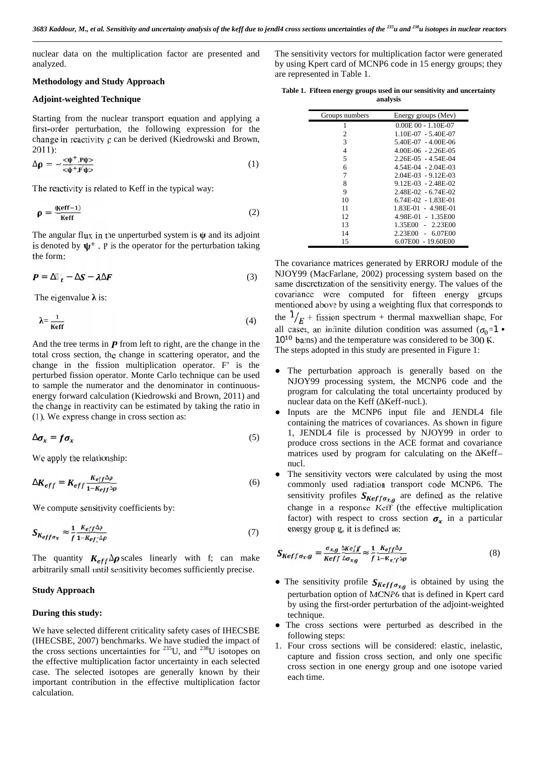nuclear data on the multiplication factor are presented and analyzed.

#### **Methodology and Study Approach**

#### **Adjoint-weighted Technique**

Starting from the nuclear transport equation and applying a first-order perturbation, the following expression for the change in reactivity ρ can be derived (Kiedrowski and Brown, 2011):

$$
\Delta \rho = -\frac{\langle \psi^+, P\psi \rangle}{\langle \psi^+, F^{\prime}\psi \rangle} \tag{1}
$$

The reactivity is related to Keff in the typical way:

$$
\rho = \frac{(\text{Keff}-1)}{\text{Keff}}\tag{2}
$$

The angular flux in the unperturbed system is and its adjoint is denoted by  $\Psi^+ \cdot P$  is the operator for the perturbation taking the form:

$$
P = \begin{bmatrix} \cdot & \cdot & \cdot \\ \cdot & \cdot & \cdot \\ \cdot & \cdot & \cdot \end{bmatrix} \qquad (3) \qquad \sum_{i=1}^{N} \binom{1}{i} \begin{bmatrix} \cdot & \cdot & \cdot & \cdot \\ \cdot & \cdot & \cdot & \cdot \\ \cdot & \cdot & \cdot & \cdot \end{bmatrix}
$$

The eigenvalue is:

$$
=\frac{1}{\text{Keff}}\tag{4}
$$

And the tree terms in  $\bf{P}$  from left to right, are the change in the total cross section, the change in scattering operator, and the change in the fission multiplication operator. F' is the perturbed fission operator. Monte Carlo technique can be used to sample the numerator and the denominator in continuous energy forward calculation (Kiedrowski and Brown, 2011) and the change in reactivity can be estimated by taking the ratio in (1). We express change in cross section as:

$$
\sigma_x = f \sigma_x \tag{5}
$$

We apply the relationship:

$$
K_{eff} = K_{eff} \frac{K_{eff} \Delta \rho}{1 - K_{eff} \cdot \rho} \tag{6}
$$

We compute sensitivity coefficients by:

$$
S_{K_{eff}\sigma_x} \quad \frac{1}{f} \frac{K_{eff}\Delta\rho}{1 - K_{eff}\Delta\rho} \tag{7}
$$

The quantity  $K_{eff} \rho$  scales linearly with f; can make arbitrarily small until sensitivity becomes sufficiently precise.

#### **Study Approach**

#### **During this study:**

We have selected different criticality safety cases of IHECSBE (IHECSBE, 2007) benchmarks. We have studied the impact of the cross sections uncertainties for  $^{235}$ U, and  $^{238}$ U isotopes on the effective multiplication factor uncertainty in each selected case. The selected isotopes are generally known by their important contribution in the effective multiplication factor calculation.

The sensitivity vectors for multiplication factor were generated by using Kpert card of MCNP6 code in 15 energy groups; they are represented in Table 1.

| Table 1. Fifteen energy groups used in our sensitivity and uncertainty |  |
|------------------------------------------------------------------------|--|
| analysis                                                               |  |

| Groups numbers | Energy groups (Mev)     |
|----------------|-------------------------|
| 1              | $0.00E00 - 1.10E-07$    |
| 2              | 1.10E-07 - 5.40E-07     |
| 3              | $5.40E-07 - 4.00E-06$   |
| 4              | $4.00E-06 - 2.26E-05$   |
| 5              | $2.26E-0.5 - 4.54E-0.4$ |
| 6              | $4.54E-04 - 2.04E-03$   |
| 7              | $2.04E-03 - 9.12E-03$   |
| 8              | $9.12E-03 - 2.48E-02$   |
| 9              | $2.48E-02 - 6.74E-02$   |
| 10             | $6.74E-02 - 1.83E-01$   |
| 11             | 1.83E-01 - 4.98E-01     |
| 12             | 4.98E-01 - 1.35E00      |
| 13             | 1.35E00 - 2.23E00       |
| 14             | 2.23E00 - 6.07E00       |
| 15             | 6.07E00 - 19.60E00      |

The covariance matrices generated by ERRORJ module of the NJOY99 (MacFarlane, 2002) processing system based on the same discretization of the sensitivity energy. The values of the covariance were computed for fifteen energy groups mentioned above by using a weighting flux that corresponds to the  $\frac{1}{F}$  + fission spectrum + thermal maxwellian shape. For all cases, an infinite dilution condition was assumed  $(\sigma_0 = 1 \cdot$  $10^{10}$  barns) and the temperature was considered to be 300 K. The steps adopted in this study are presented in Figure 1:

The perturbation approach is generally based on the NJOY99 processing system, the MCNP6 code and the program for calculating the total uncertainty produced by nuclear data on the Keff (∠Keff-nucl.).

Inputs are the MCNP6 input file and JENDL4 file containing the matrices of covariances. As shown in figure 1, JENDL4 file is processed by NJOY99 in order to produce cross sections in the ACE format and covariance matrices used by program for calculating on the Keff– nucl.

The sensitivity vectors were calculated by using the most commonly used radiation transport code MCNP6. The sensitivity profiles  $S_{Keff, \sigma_{x,g}}$  are defined as the relative change in a response Keff (the effective multiplication factor) with respect to cross section  $\sigma_x$  in a particular energy group g, it is defined as:

$$
S_{Keff\sigma_Xg} = \frac{\sigma_{X,g}}{Keff} \frac{Keff}{\sigma_{X,g}} \frac{1}{f} \frac{K_{eff}\Delta p}{1 - K_{eff}t\rho}
$$
(8)

The sensitivity profile  $S_{Keff,\sigma_{x,g}}$  is obtained by using the perturbation option of MCNP6 that is defined in Kpert card by using the first-order perturbation of the adjoint-weighted technique.

The cross sections were perturbed as described in the following steps:

1. Four cross sections will be considered: elastic, inelastic, capture and fission cross section, and only one specific cross section in one energy group and one isotope varied each time.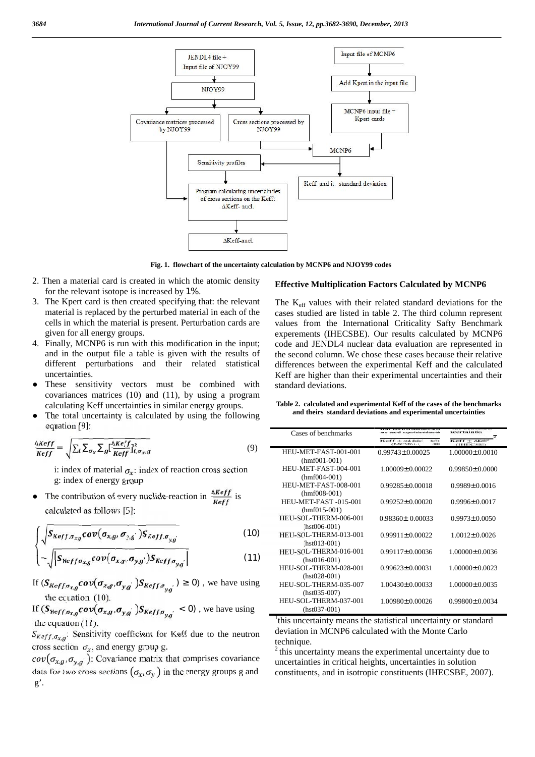

**Fig. 1. flowchart of the uncertainty calculation by MCNP6 and NJOY99 codes**

- 2. Then a material card is created in which the atomic density for the relevant isotope is increased by 1%. 3. The Kpert card is then created specifying that: the relevant
- material is replaced by the perturbed material in each of the cells in which the material is present. Perturbation cards are given for all energy groups.
- 4. Finally, MCNP6 is run with this modification in the input; and in the output file a table is given with the results of different perturbations and their related statistical uncertainties.

These sensitivity vectors must be combined with covariances matrices (10) and (11), by using a program calculating Keff uncertainties in similar energy groups.

The total uncertainty is calculated by using the following equation [9]:

$$
\frac{\Delta \text{Keff}}{\text{Keff}} = \sqrt{\sum_{i} \sigma_{x} g \left[ \frac{\Delta \text{Keff}}{\text{Keff}} \right]_{i,\sigma_{x},g}^{2}} \tag{9}
$$

i: index of material  $\sigma_x$ : index of reaction cross section g: index of energy group

The contribution of every nuclide-reaction in  $\frac{W_{eff}}{K_{eff}}$  is calculated as follows [5]:

$$
\int \sqrt{S_{Keff,\sigma_{x,g}} cov(\sigma_{x,g},\sigma_{y,g}) S_{Keff,\sigma_{y,g}}}
$$
 (10)

$$
\left(-\sqrt{\left|\mathcal{S}_{Keff\sigma_{x,g}}\text{cov}(\sigma_{x,g},\sigma_{y,g'})\mathcal{S}_{Keff\sigma_{y,g}}\right|}\right) \tag{11}
$$

If  $(S_{Keff \sigma_{x,g}} cov(\sigma_{x,g}, \sigma_{y,g}) S_{Keff \sigma_{y,g}} )$  0), we have using HEU the equation (10).

If  $(S_{\kappa e f f, \sigma_{x,g}} cov(\sigma_{x,g}, \sigma_{y,g}) S_{\kappa e f f, \sigma_{y,g}} < 0)$ , we have using the equation  $(11)$ .

 $\sigma_{x,g}$ : Sensitivity coefficient for Keff due to the neutron deviation cross section  $\sigma_x$ , and energy group g.

 $_{g_1}$ ,  $\sigma_{y,g}$ ): Covariance matrix that comprises covariance unce data for two cross sections  $(\sigma_x, \sigma_y)$  in the energy groups g and g'.

#### **Effective Multiplication Factors Calculated by MCNP6**

The K<sub>eff</sub> values with their related standard deviations for the cases studied are listed in table 2. The third column represent values from the International Criticality Safty Benchmark experements (IHECSBE). Our results calculated by MCNP6 code and JENDL4 nuclear data evaluation are represented in the second column. We chose these cases because their relative differences between the experimental Keff and the calculated Keff are higher than their experimental uncertainties and their standard deviations.

**Table 2. calculated and experimental Keff of the cases of the benchmarks and theirs standard deviations and experimental uncertainties**

| Cases of benchmarks         | experimental socciain                              | "Esa il an driate                     |
|-----------------------------|----------------------------------------------------|---------------------------------------|
|                             | + std. dedev.<br>Keff 4<br><b>CHIEC</b><br>(MENP6) | $Kerf + \Delta Kef$<br><b>CHECSBE</b> |
| HEU-MET-FAST-001-001        | $0.99743 \pm 0.00025$                              | $1.00000 \pm 0.0010$                  |
| $(hmf001-001)$              |                                                    |                                       |
| HEU-MET-FAST-004-001        | $1.00009 + 0.00022$                                | $0.99850 + 0.0000$                    |
| $(hmf004-001)$              |                                                    |                                       |
| HEU-MET-FAST-008-001        | $0.99285 + 0.00018$                                | $0.9989 + 0.0016$                     |
| $(hmf008-001)$              |                                                    |                                       |
| <b>HEU-MET-FAST-015-001</b> | $0.99252 + 0.00020$                                | $0.9996 + 0.0017$                     |
| $(hmf015-001)$              |                                                    |                                       |
| HEU-SOL-THERM-006-001       | $0.98360 + 0.00033$                                | $0.9973 + 0.0050$                     |
| $(hst006-001)$              |                                                    |                                       |
| HEU-SOL-THERM-013-001       | $0.99911 + 0.00022$                                | $1.0012 + 0.0026$                     |
| $(hst013-001)$              |                                                    |                                       |
| HEU-SOL-THERM-016-001       | $0.99117 + 0.00036$                                | $1.00000 + 0.0036$                    |
| $(hst016-001)$              |                                                    |                                       |
| HEU-SOL-THERM-028-001       | $0.99623 + 0.00031$                                | $1.00000 \pm 0.0023$                  |
| $(hst028-001)$              |                                                    |                                       |
| HEU-SOL-THERM-035-007       | $1.00430 + 0.00033$                                | $1.00000 \pm 0.0035$                  |
| $(hst035-007)$              |                                                    |                                       |
| HEU-SOL-THERM-037-001       | $1.00980 + 0.00026$                                | $0.99800 + 0.0034$                    |
| $(hst037-001)$              |                                                    |                                       |

<sup>1</sup>this uncertainty means the statistical uncertainty or standard deviation in MCNP6 calculated with the Monte Carlo

technique.<br><sup>2</sup> this uncertainty means the experimental uncertainty due to uncertainties in critical heights, uncertainties in solution constituents, and in isotropic constituents (IHECSBE, 2007).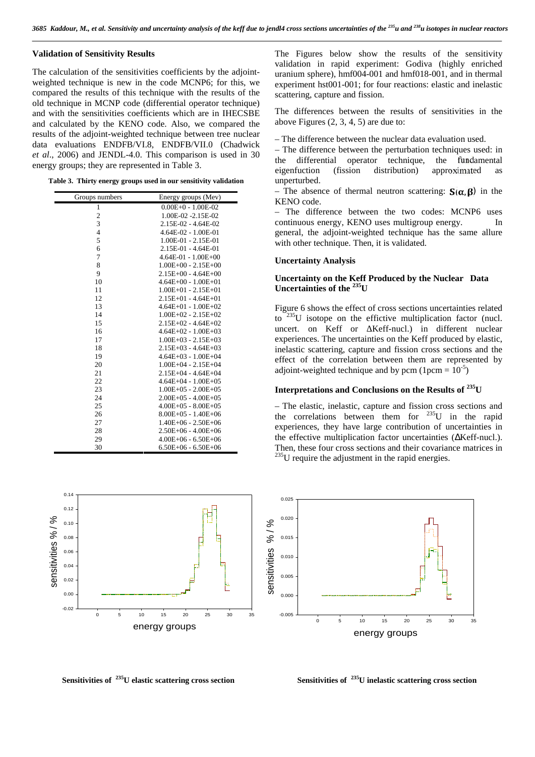#### **Validation of Sensitivity Results**

The calculation of the sensitivities coefficients by the adjoint weighted technique is new in the code MCNP6; for this, we compared the results of this technique with the results of the old technique in MCNP code (differential operator technique) and with the sensitivities coefficients which are in IHECSBE and calculated by the KENO code. Also, we compared the results of the adjoint-weighted technique between tree nuclear data evaluations ENDFB/VI.8, ENDFB/VII.0 (Chadwick *et al*., 2006) and JENDL-4.0. This comparison is used in 30 energy groups; they are represented in Table 3.

**Table 3. Thirty energy groups used in our sensitivity validation**

| Groups numbers          | Energy groups (Mev)       |
|-------------------------|---------------------------|
| $\mathbf{1}$            | $0.00E+0 - 1.00E-02$      |
| $\overline{\mathbf{c}}$ | 1.00E-02 -2.15E-02        |
| 3                       | $2.15E-02 - 4.64E-02$     |
| $\overline{4}$          | $4.64E-02 - 1.00E-01$     |
| 5                       | $1.00E-01 - 2.15E-01$     |
| 6                       | $2.15E-01 - 4.64E-01$     |
| 7                       | $4.64E-01 - 1.00E+00$     |
| 8                       | $1.00E + 00 - 2.15E + 00$ |
| 9                       | $2.15E+00 - 4.64E+00$     |
| 10                      | $4.64E+00 - 1.00E+01$     |
| 11                      | $1.00E + 01 - 2.15E + 01$ |
| 12                      | $2.15E+01 - 4.64E+01$     |
| 13                      | $4.64E+01 - 1.00E+02$     |
| 14                      | $1.00E + 02 - 2.15E + 02$ |
| 15                      | $2.15E+02 - 4.64E+02$     |
| 16                      | $4.64E+02 - 1.00E+03$     |
| 17                      | $1.00E + 03 - 2.15E + 03$ |
| 18                      | $2.15E+03 - 4.64E+03$     |
| 19                      | $4.64E+03 - 1.00E+04$     |
| 20                      | $1.00E + 04 - 2.15E + 04$ |
| 21                      | $2.15E+04 - 4.64E+04$     |
| 22                      | $4.64E+04 - 1.00E+05$     |
| 23                      | $1.00E + 05 - 2.00E + 05$ |
| 24                      | $2.00E + 05 - 4.00E + 05$ |
| 25                      | $4.00E + 05 - 8.00E + 05$ |
| 26                      | $8.00E+05 - 1.40E+06$     |
| 27                      | $1.40E + 06 - 2.50E + 06$ |
| 28                      | $2.50E + 06 - 4.00E + 06$ |
| 29                      | $4.00E + 06 - 6.50E + 06$ |
| 30                      | $6.50E+06 - 6.50E+06$     |

energy groups  $\frac{6}{3}$   $\frac{6}{3}$   $\frac{6}{3}$   $\frac{6}{3}$   $\frac{6}{3}$   $\frac{6}{3}$   $\frac{6}{3}$   $\frac{6}{3}$   $\frac{6}{3}$   $\frac{6}{3}$   $\frac{6}{3}$   $\frac{6}{3}$   $\frac{1}{3}$   $\frac{1}{3}$   $\frac{1}{3}$   $\frac{1}{3}$   $\frac{1}{3}$   $\frac{1}{3}$   $\frac{1}{3}$   $\frac{1}{3}$   $\frac{1}{3}$   $\frac{1}{3}$  0.00 0.02 0.04  $0.06 -$ 0.08 0.10 0.12  $0.14$  T

The Figures below show the results of the sensitivity validation in rapid experiment: Godiva (highly enriched uranium sphere), hmf004-001 and hmf018-001, and in thermal experiment hst001-001; for four reactions: elastic and inelastic scattering, capture and fission.

The differences between the results of sensitivities in the above Figures (2, 3, 4, 5) are due to:

– The difference between the nuclear data evaluation used.

– The difference between the perturbation techniques used: in the differential operator technique, the fundamental eigenfuction (fission distribution) approximated as unperturbed.

– The absence of thermal neutron scattering:  $S(\alpha, \beta)$  in the KENO code.

– The difference between the two codes: MCNP6 uses continuous energy, KENO uses multigroup energy. In general, the adjoint-weighted technique has the same allure with other technique. Then, it is validated.

#### **Uncertainty Analysis**

### **Uncertainty on the Keff Produced by the Nuclear Data Uncertainties of the <sup>235</sup>U**

Figure 6 shows the effect of cross sections uncertainties related to  $^{235}$ U isotope on the effictive multiplication factor (nucl. uncert. on Keff or Keff-nucl.) in different nuclear experiences. The uncertainties on the Keff produced by elastic, inelastic scattering, capture and fission cross sections and the effect of the correlation between them are represented by adjoint-weighted technique and by pcm (1pcm =  $10^{-5}$ )

## **Interpretations and Conclusions on the Results of <sup>235</sup>U**

– The elastic, inelastic, capture and fission cross sections and the correlations between them for  $^{235}$ U in the rapid experiences, they have large contribution of uncertainties in the effective multiplication factor uncertainties ( Keff-nucl.). Then, these four cross sections and their covariance matrices in  $235$ U require the adjustment in the rapid energies.



#### **Sensitivities of <sup>235</sup>U elastic scattering cross section Sensitivities of <sup>235</sup>U inelastic scattering cross section**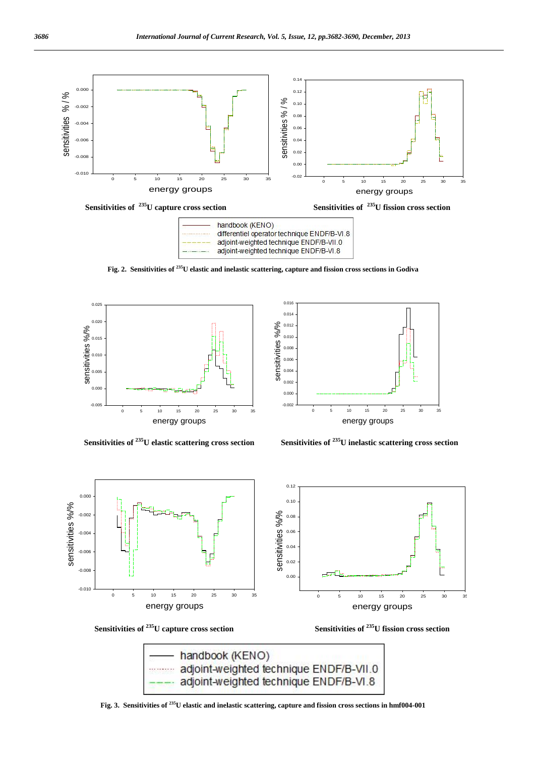



**Fig. 2. Sensitivities of <sup>235</sup>U elastic and inelastic scattering, capture and fission cross sections in Godiva**





**Sensitivities of <sup>235</sup>U elastic scattering cross section Sensitivities of <sup>235</sup>U inelastic scattering cross section**







**Fig. 3. Sensitivities of <sup>235</sup>U elastic and inelastic scattering, capture and fission cross sections in hmf004-001**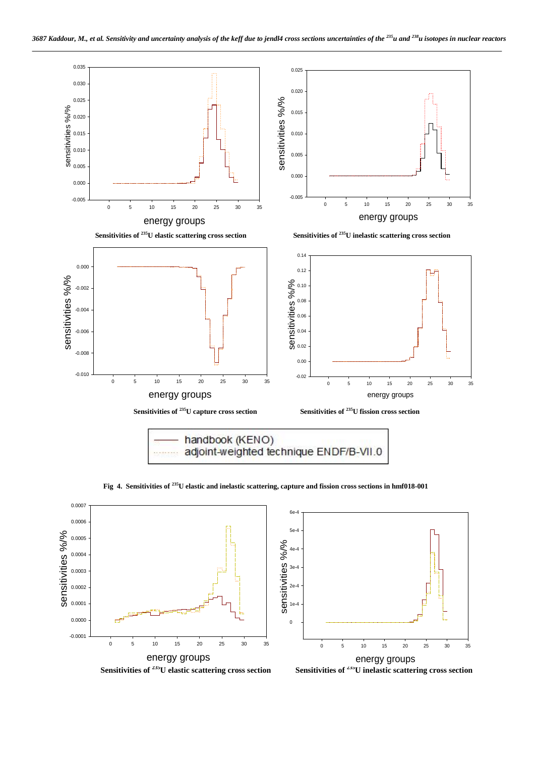

**Fig 4. Sensitivities of <sup>235</sup>U elastic and inelastic scattering, capture and fission cross sections in hmf018-001**

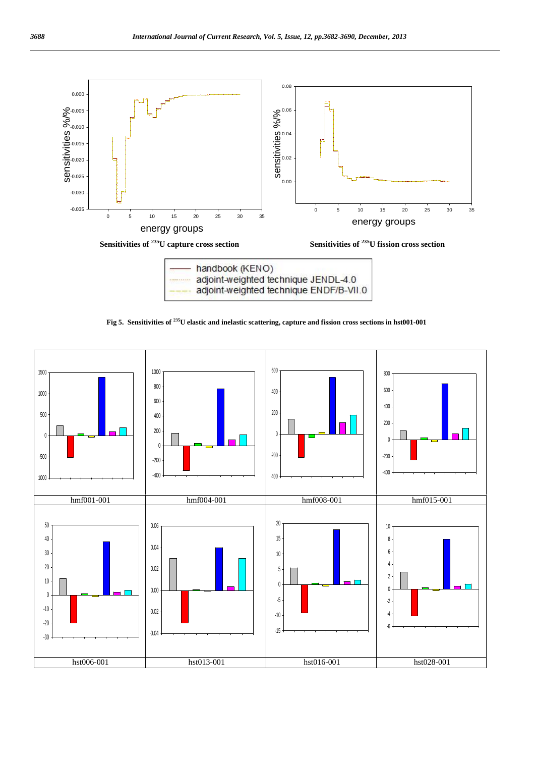

**Fig 5. Sensitivities of <sup>235</sup>U elastic and inelastic scattering, capture and fission cross sections in hst001-001**

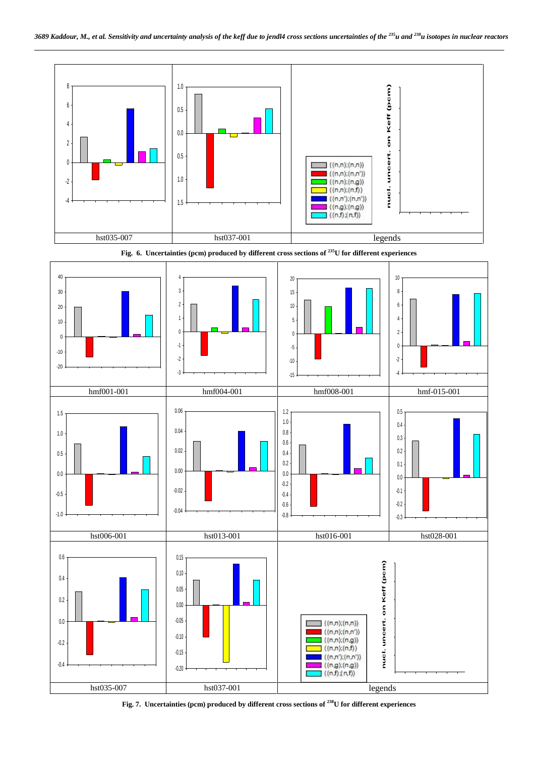





**Fig. 7. Uncertainties (pcm) produced by different cross sections of <sup>238</sup>U for different experiences**